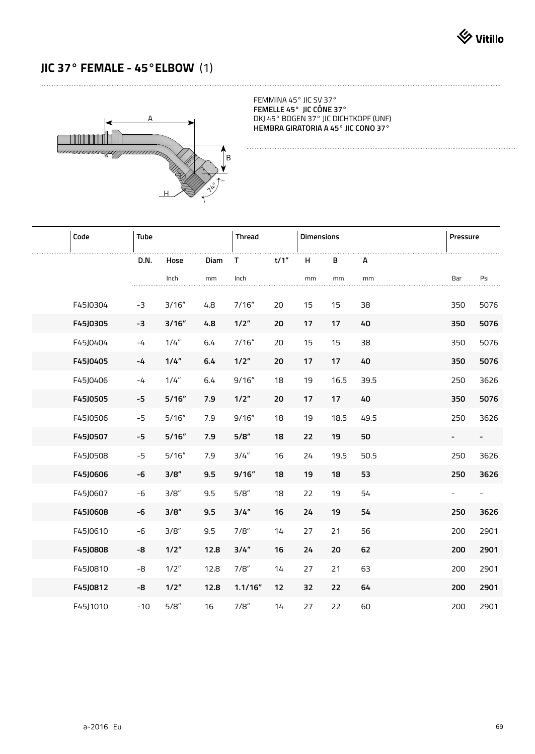## **JIC 37° FEMALE - 45°ELBOW** (1)



FEMMINA 45° JIC SV 37° **FEMELLE 45° JIC CÔNE 37°** DKJ 45° BOGEN 37° JIC DICHTKOPF (UNF) **HEMBRA GIRATORIA A 45° JIC CONO 37°** 

| Code     | Tube  |        | <b>Thread</b> |         | <b>Dimensions</b> |    |      | Pressure |                          |      |
|----------|-------|--------|---------------|---------|-------------------|----|------|----------|--------------------------|------|
|          | D.N.  | Hose   | Diam          | T.      | t/1"              | н  | в    | А        |                          |      |
|          |       | Inch   | mm            | Inch    |                   | mm | mm   | mm       | Bar                      | Psi  |
| F45J0304 | $-3$  | 3/16'' | 4.8           | 7/16''  | 20                | 15 | 15   | 38       | 350                      | 5076 |
| F45J0305 | -3    | 3/16"  | 4.8           | 1/2"    | 20                | 17 | 17   | 40       | 350                      | 5076 |
| F45J0404 | $-4$  | 1/4"   | 6.4           | 7/16''  | 20                | 15 | 15   | 38       | 350                      | 5076 |
| F45J0405 | $-4$  | 1/4"   | 6.4           | 1/2"    | 20                | 17 | 17   | 40       | 350                      | 5076 |
| F45J0406 | $-4$  | 1/4''  | 6.4           | 9/16''  | 18                | 19 | 16.5 | 39.5     | 250                      | 3626 |
| F45J0505 | $-5$  | 5/16"  | 7.9           | 1/2"    | 20                | 17 | 17   | 40       | 350                      | 5076 |
| F45J0506 | $-5$  | 5/16'' | 7.9           | 9/16''  | 18                | 19 | 18.5 | 49.5     | 250                      | 3626 |
| F45J0507 | $-5$  | 5/16"  | 7.9           | 5/8"    | 18                | 22 | 19   | 50       | $\overline{\phantom{a}}$ | ۰.   |
| F45J0508 | $-5$  | 5/16'' | 7.9           | 3/4''   | 16                | 24 | 19.5 | 50.5     | 250                      | 3626 |
| F45J0606 | -6    | 3/8"   | 9.5           | 9/16"   | 18                | 19 | 18   | 53       | 250                      | 3626 |
| F45J0607 | $-6$  | 3/8"   | 9.5           | 5/8"    | 18                | 22 | 19   | 54       | $\overline{\phantom{0}}$ |      |
| F45J0608 | -6    | 3/8"   | 9.5           | 3/4"    | 16                | 24 | 19   | 54       | 250                      | 3626 |
| F45J0610 | $-6$  | 3/8"   | 9.5           | 7/8"    | 14                | 27 | 21   | 56       | 200                      | 2901 |
| F45J0808 | -8    | 1/2"   | 12.8          | 3/4"    | 16                | 24 | 20   | 62       | 200                      | 2901 |
| F45J0810 | -8    | 1/2"   | 12.8          | 7/8"    | 14                | 27 | 21   | 63       | 200                      | 2901 |
| F45J0812 | -8    | 1/2"   | 12.8          | 1.1/16" | 12                | 32 | 22   | 64       | 200                      | 2901 |
| F45J1010 | $-10$ | 5/8"   | 16            | 7/8"    | 14                | 27 | 22   | 60       | 200                      | 2901 |